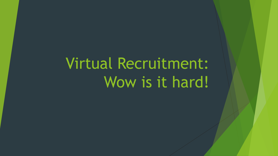# Virtual Recruitment: Wow is it hard!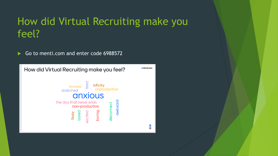### How did Virtual Recruiting make you feel?

Go to menti.com and enter code 6988572

How did Virtual Recruiting make you feel?



 $\overline{\mathbf{B}}$  $\overline{a}$ 

**Mentimeter**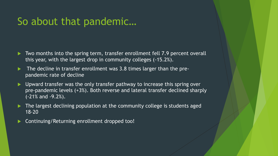#### So about that pandemic…

- Two months into the spring term, transfer enrollment fell 7.9 percent overall this year, with the largest drop in community colleges (-15.2%).
- $\blacktriangleright$  The decline in transfer enrollment was 3.8 times larger than the prepandemic rate of decline
- Upward transfer was the only transfer pathway to increase this spring over pre-pandemic levels (+3%). Both reverse and lateral transfer declined sharply (-21% and -9.2%).
- The largest declining population at the community college is students aged 18-20
- Continuing/Returning enrollment dropped too!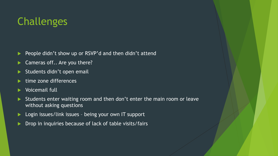## Challenges

- People didn't show up or RSVP'd and then didn't attend
- Cameras off.. Are you there?
- Students didn't open email
- time zone differences
- Voicemail full
- Students enter waiting room and then don't enter the main room or leave without asking questions
- ▶ Login issues/link issues being your own IT support
- Drop in inquiries because of lack of table visits/fairs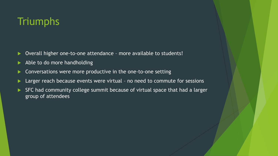## **Triumphs**

- ▶ Overall higher one-to-one attendance more available to students!
- Able to do more handholding
- Conversations were more productive in the one-to-one setting
- Larger reach because events were virtual no need to commute for sessions
- SFC had community college summit because of virtual space that had a larger group of attendees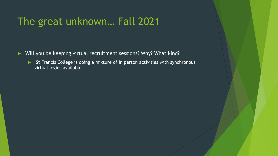#### The great unknown… Fall 2021

- ▶ Will you be keeping virtual recruitment sessions? Why? What kind?
	- St Francis College is doing a mixture of in person activities with synchronous virtual logins available